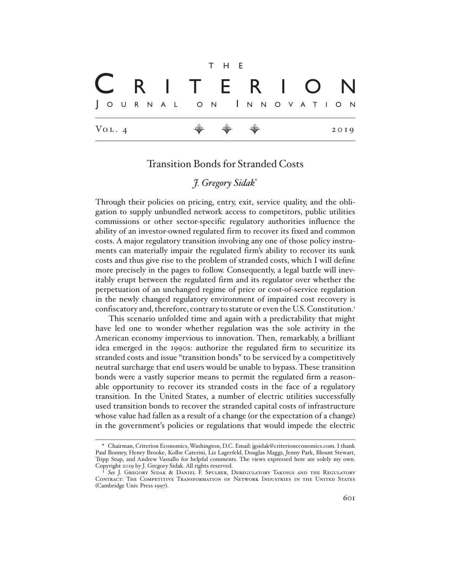$$
\begin{array}{|c|c|c|c|}\n\hline\n\text{R} & \text{I} & \text{T} & \text{E} & \text{R} & \text{I} & \text{O} & \text{N} \\
\hline\n\text{Journal o'n lnnovati o'n} \\
\hline\n\text{Vol. 4} & \text{W} & \text{W} & \text{W} & \text{2019}\n\end{array}
$$

## Transition Bonds for Stranded Costs

## *J. Gregory Sidak*\*

Through their policies on pricing, entry, exit, service quality, and the obligation to supply unbundled network access to competitors, public utilities commissions or other sector-specific regulatory authorities influence the ability of an investor-owned regulated firm to recover its fixed and common costs. A major regulatory transition involving any one of those policy instruments can materially impair the regulated firm's ability to recover its sunk costs and thus give rise to the problem of stranded costs, which I will define more precisely in the pages to follow. Consequently, a legal battle will inevitably erupt between the regulated firm and its regulator over whether the perpetuation of an unchanged regime of price or cost-of-service regulation in the newly changed regulatory environment of impaired cost recovery is confiscatory and, therefore, contrary to statute or even the U.S. Constitution.<sup>1</sup>

This scenario unfolded time and again with a predictability that might have led one to wonder whether regulation was the sole activity in the American economy impervious to innovation. Then, remarkably, a brilliant idea emerged in the 1990s: authorize the regulated firm to securitize its stranded costs and issue "transition bonds" to be serviced by a competitively neutral surcharge that end users would be unable to bypass. These transition bonds were a vastly superior means to permit the regulated firm a reasonable opportunity to recover its stranded costs in the face of a regulatory transition. In the United States, a number of electric utilities successfully used transition bonds to recover the stranded capital costs of infrastructure whose value had fallen as a result of a change (or the expectation of a change) in the government's policies or regulations that would impede the electric

<sup>\*</sup> Chairman, Criterion Economics, Washington, D.C. Email: jgsidak@criterioneconomics.com. I thank Paul Bonney, Henry Brooke, Kolbe Caterini, Liz Lagerfeld, Douglas Maggs, Jenny Park, Blount Stewart, Tripp Stup, and Andrew Vassallo for helpful comments. The views expressed here are solely my own. Copyright 2019 by J. Gregory Sidak. All rights reserved.

<sup>1</sup> *See* J. Gregory Sidak & Daniel F. Spulber, Deregulatory Takings and the Regulatory Contract: The Competitive Transformation of Network Industries in the United States (Cambridge Univ. Press 1997).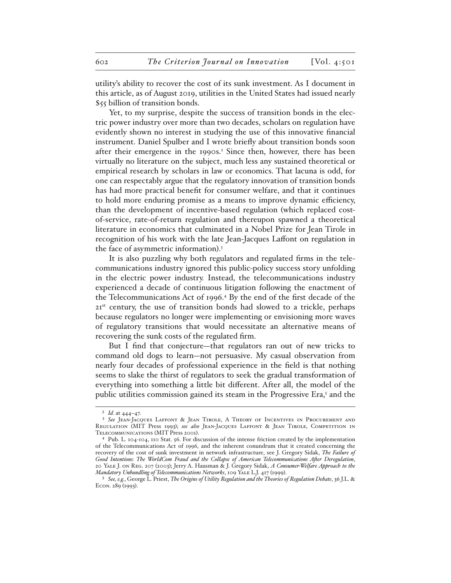utility's ability to recover the cost of its sunk investment. As I document in this article, as of August 2019, utilities in the United States had issued nearly \$55 billion of transition bonds.

Yet, to my surprise, despite the success of transition bonds in the electric power industry over more than two decades, scholars on regulation have evidently shown no interest in studying the use of this innovative financial instrument. Daniel Spulber and I wrote briefly about transition bonds soon after their emergence in the 1990s.<sup>2</sup> Since then, however, there has been virtually no literature on the subject, much less any sustained theoretical or empirical research by scholars in law or economics. That lacuna is odd, for one can respectably argue that the regulatory innovation of transition bonds has had more practical benefit for consumer welfare, and that it continues to hold more enduring promise as a means to improve dynamic efficiency, than the development of incentive-based regulation (which replaced costof-service, rate-of-return regulation and thereupon spawned a theoretical literature in economics that culminated in a Nobel Prize for Jean Tirole in recognition of his work with the late Jean-Jacques Laffont on regulation in the face of asymmetric information).3

It is also puzzling why both regulators and regulated firms in the telecommunications industry ignored this public-policy success story unfolding in the electric power industry. Instead, the telecommunications industry experienced a decade of continuous litigation following the enactment of the Telecommunications Act of 1996.4 By the end of the first decade of the 21<sup>st</sup> century, the use of transition bonds had slowed to a trickle, perhaps because regulators no longer were implementing or envisioning more waves of regulatory transitions that would necessitate an alternative means of recovering the sunk costs of the regulated firm.

But I find that conjecture—that regulators ran out of new tricks to command old dogs to learn—not persuasive. My casual observation from nearly four decades of professional experience in the field is that nothing seems to slake the thirst of regulators to seek the gradual transformation of everything into something a little bit different. After all, the model of the public utilities commission gained its steam in the Progressive Era,<sup>5</sup> and the

<sup>2</sup> *Id.* at 444–47.

<sup>3</sup> *See* Jean-Jacques Laffont & Jean Tirole, A Theory of Incentives in Procurement and Regulation (MIT Press 1993); *see also* Jean-Jacques Laffont & Jean Tirole, Competition in Telecommunications (MIT Press 2001).

Pub. L. 104-104, 110 Stat. 56. For discussion of the intense friction created by the implementation of the Telecommunications Act of 1996, and the inherent conundrum that it created concerning the recovery of the cost of sunk investment in network infrastructure, see J. Gregory Sidak, *The Failure of Good Intentions: The WorldCom Fraud and the Collapse of American Telecommunications After Deregulation*, 20 Yale J. on Reg. 207 (2003); Jerry A. Hausman & J. Gregory Sidak, *A Consumer-Welfare Approach to the Mandatory Unbundling of Telecommunications Networks*, 109 Yale L.J. 417 (1999).

<sup>5</sup> *See, e.g.*, George L. Priest, *The Origins of Utility Regulation and the Theories of Regulation Debate*, 36 J.L. & Econ. 289 (1993).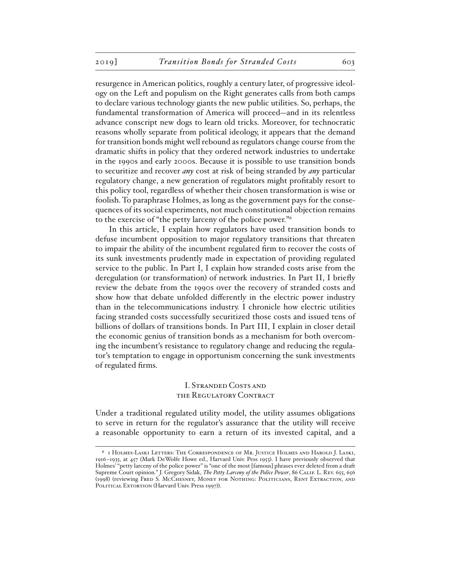resurgence in American politics, roughly a century later, of progressive ideology on the Left and populism on the Right generates calls from both camps to declare various technology giants the new public utilities. So, perhaps, the fundamental transformation of America will proceed—and in its relentless advance conscript new dogs to learn old tricks. Moreover, for technocratic reasons wholly separate from political ideology, it appears that the demand for transition bonds might well rebound as regulators change course from the dramatic shifts in policy that they ordered network industries to undertake in the 1990s and early 2000s. Because it is possible to use transition bonds to securitize and recover *any* cost at risk of being stranded by *any* particular regulatory change, a new generation of regulators might profitably resort to this policy tool, regardless of whether their chosen transformation is wise or foolish. To paraphrase Holmes, as long as the government pays for the consequences of its social experiments, not much constitutional objection remains to the exercise of "the petty larceny of the police power."6

In this article, I explain how regulators have used transition bonds to defuse incumbent opposition to major regulatory transitions that threaten to impair the ability of the incumbent regulated firm to recover the costs of its sunk investments prudently made in expectation of providing regulated service to the public. In Part I, I explain how stranded costs arise from the deregulation (or transformation) of network industries. In Part II, I briefly review the debate from the 1990s over the recovery of stranded costs and show how that debate unfolded differently in the electric power industry than in the telecommunications industry. I chronicle how electric utilities facing stranded costs successfully securitized those costs and issued tens of billions of dollars of transitions bonds. In Part III, I explain in closer detail the economic genius of transition bonds as a mechanism for both overcoming the incumbent's resistance to regulatory change and reducing the regulator's temptation to engage in opportunism concerning the sunk investments of regulated firms.

## I. Stranded Costs and the Regulatory Contract

Under a traditional regulated utility model, the utility assumes obligations to serve in return for the regulator's assurance that the utility will receive a reasonable opportunity to earn a return of its invested capital, and a

<sup>6</sup> 1 Holmes-Laski Letters: The Correspondence of Mr. Justice Holmes and Harold J. Laski, 1916–1935, at 457 (Mark DeWolfe Howe ed., Harvard Univ. Pess 1953). I have previously observed that Holmes' "petty larceny of the police power" is "one of the most [famous] phrases ever deleted from a draft Supreme Court opinion." J. Gregory Sidak, *The Petty Larceny of the Police Power*, 86 Calif. L. Rev. 655, 656 (1998) (reviewing Fred S. McChesney, Money for Nothing: Politicians, Rent Extraction, and POLITICAL EXTORTION (Harvard Univ. Press 1997)).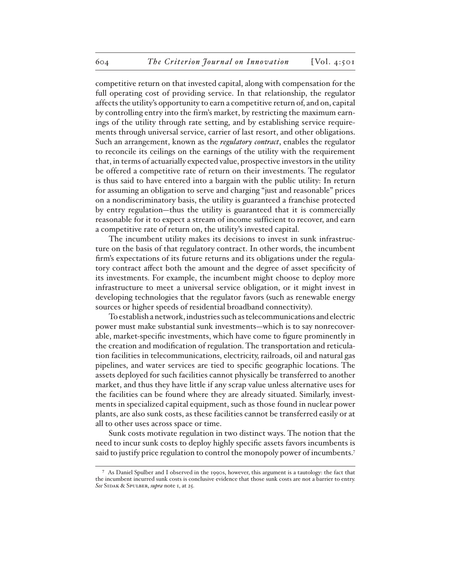competitive return on that invested capital, along with compensation for the full operating cost of providing service. In that relationship, the regulator affects the utility's opportunity to earn a competitive return of, and on, capital by controlling entry into the firm's market, by restricting the maximum earnings of the utility through rate setting, and by establishing service requirements through universal service, carrier of last resort, and other obligations. Such an arrangement, known as the *regulatory contract*, enables the regulator to reconcile its ceilings on the earnings of the utility with the requirement that, in terms of actuarially expected value, prospective investors in the utility be offered a competitive rate of return on their investments. The regulator is thus said to have entered into a bargain with the public utility: In return for assuming an obligation to serve and charging "just and reasonable" prices on a nondiscriminatory basis, the utility is guaranteed a franchise protected by entry regulation—thus the utility is guaranteed that it is commercially reasonable for it to expect a stream of income sufficient to recover, and earn a competitive rate of return on, the utility's invested capital.

The incumbent utility makes its decisions to invest in sunk infrastructure on the basis of that regulatory contract. In other words, the incumbent firm's expectations of its future returns and its obligations under the regulatory contract affect both the amount and the degree of asset specificity of its investments. For example, the incumbent might choose to deploy more infrastructure to meet a universal service obligation, or it might invest in developing technologies that the regulator favors (such as renewable energy sources or higher speeds of residential broadband connectivity).

To establish a network, industries such as telecommunications and electric power must make substantial sunk investments—which is to say nonrecoverable, market-specific investments, which have come to figure prominently in the creation and modification of regulation. The transportation and reticulation facilities in telecommunications, electricity, railroads, oil and natural gas pipelines, and water services are tied to specific geographic locations. The assets deployed for such facilities cannot physically be transferred to another market, and thus they have little if any scrap value unless alternative uses for the facilities can be found where they are already situated. Similarly, investments in specialized capital equipment, such as those found in nuclear power plants, are also sunk costs, as these facilities cannot be transferred easily or at all to other uses across space or time.

Sunk costs motivate regulation in two distinct ways. The notion that the need to incur sunk costs to deploy highly specific assets favors incumbents is said to justify price regulation to control the monopoly power of incumbents.<sup>7</sup>

<sup>7</sup> As Daniel Spulber and I observed in the 1990s, however, this argument is a tautology: the fact that the incumbent incurred sunk costs is conclusive evidence that those sunk costs are not a barrier to entry. See SIDAK & SPULBER, *supra* note 1, at 25.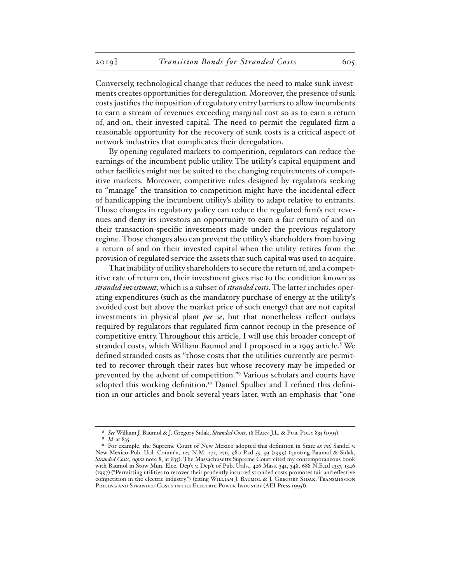Conversely, technological change that reduces the need to make sunk investments creates opportunities for deregulation. Moreover, the presence of sunk costs justifies the imposition of regulatory entry barriers to allow incumbents to earn a stream of revenues exceeding marginal cost so as to earn a return of, and on, their invested capital. The need to permit the regulated firm a reasonable opportunity for the recovery of sunk costs is a critical aspect of network industries that complicates their deregulation.

By opening regulated markets to competition, regulators can reduce the earnings of the incumbent public utility. The utility's capital equipment and other facilities might not be suited to the changing requirements of competitive markets. Moreover, competitive rules designed by regulators seeking to "manage" the transition to competition might have the incidental effect of handicapping the incumbent utility's ability to adapt relative to entrants. Those changes in regulatory policy can reduce the regulated firm's net revenues and deny its investors an opportunity to earn a fair return of and on their transaction-specific investments made under the previous regulatory regime. Those changes also can prevent the utility's shareholders from having a return of and on their invested capital when the utility retires from the provision of regulated service the assets that such capital was used to acquire.

That inability of utility shareholders to secure the return of, and a competitive rate of return on, their investment gives rise to the condition known as *stranded investment*, which is a subset of *stranded costs*. The latter includes operating expenditures (such as the mandatory purchase of energy at the utility's avoided cost but above the market price of such energy) that are not capital investments in physical plant *per se*, but that nonetheless reflect outlays required by regulators that regulated firm cannot recoup in the presence of competitive entry. Throughout this article, I will use this broader concept of stranded costs, which William Baumol and I proposed in a 1995 article.8 We defined stranded costs as "those costs that the utilities currently are permitted to recover through their rates but whose recovery may be impeded or prevented by the advent of competition."9 Various scholars and courts have adopted this working definition.<sup>10</sup> Daniel Spulber and I refined this definition in our articles and book several years later, with an emphasis that "one

<sup>8</sup> *See* William J. Baumol & J. Gregory Sidak, *Stranded Costs*, 18 Harv. J.L. & Pub. Pol'y 835 (1995). *Id.* at 835.

<sup>&</sup>lt;sup>10</sup> For example, the Supreme Court of New Mexico adopted this definition in State ex rel. Sandel v. New Mexico Pub. Util. Comm'n, 127 N.M. 272, 276, 980 P.2d 55, 59 (1999) (quoting Baumol & Sidak, *Stranded Costs*, *supra* note 8, at 835). The Massachusetts Supreme Court cited my contemporaneous book with Baumol in Stow Mun. Elec. Dep't v. Dep't of Pub. Utils., 426 Mass. 341, 348, 688 N.E.2d 1337, 1346 (1997) ("Permitting utilities to recover their prudently incurred stranded costs promotes fair and effective competition in the electric industry.") (citing WILLIAM J. BAUMOL & J. GREGORY SIDAK, TRANSMISSION PRICING AND STRANDED COSTS IN THE ELECTRIC POWER INDUSTRY (AEI Press 1995)).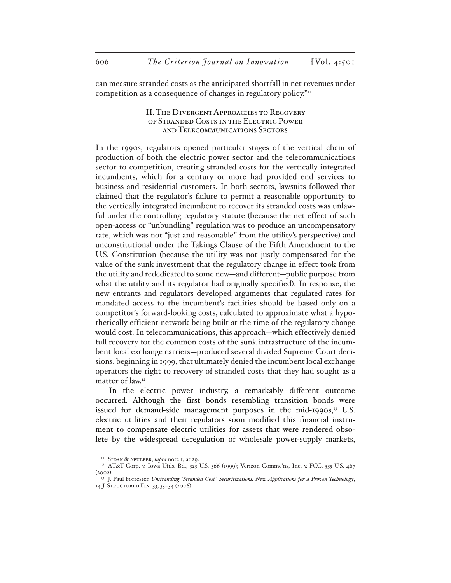can measure stranded costs as the anticipated shortfall in net revenues under competition as a consequence of changes in regulatory policy."<sup>11</sup>

### II. The Divergent Approaches to Recovery of Stranded Costs in the Electric Power and Telecommunications Sectors

In the 1990s, regulators opened particular stages of the vertical chain of production of both the electric power sector and the telecommunications sector to competition, creating stranded costs for the vertically integrated incumbents, which for a century or more had provided end services to business and residential customers. In both sectors, lawsuits followed that claimed that the regulator's failure to permit a reasonable opportunity to the vertically integrated incumbent to recover its stranded costs was unlawful under the controlling regulatory statute (because the net effect of such open-access or "unbundling" regulation was to produce an uncompensatory rate, which was not "just and reasonable" from the utility's perspective) and unconstitutional under the Takings Clause of the Fifth Amendment to the U.S. Constitution (because the utility was not justly compensated for the value of the sunk investment that the regulatory change in effect took from the utility and rededicated to some new—and different—public purpose from what the utility and its regulator had originally specified). In response, the new entrants and regulators developed arguments that regulated rates for mandated access to the incumbent's facilities should be based only on a competitor's forward-looking costs, calculated to approximate what a hypothetically efficient network being built at the time of the regulatory change would cost. In telecommunications, this approach—which effectively denied full recovery for the common costs of the sunk infrastructure of the incumbent local exchange carriers—produced several divided Supreme Court decisions, beginning in 1999, that ultimately denied the incumbent local exchange operators the right to recovery of stranded costs that they had sought as a matter of law.<sup>12</sup>

In the electric power industry, a remarkably different outcome occurred. Although the first bonds resembling transition bonds were issued for demand-side management purposes in the mid-1990s, $\frac{13}{15}$  U.S. electric utilities and their regulators soon modified this financial instrument to compensate electric utilities for assets that were rendered obsolete by the widespread deregulation of wholesale power-supply markets,

<sup>11</sup> Sidak & Spulber, *supra* note 1, at 29.

<sup>12</sup> AT&T Corp. v. Iowa Utils. Bd., 525 U.S. 366 (1999); Verizon Commc'ns, Inc. v. FCC, 535 U.S. 467 (2002).

<sup>13</sup> J. Paul Forrester, *Unstranding "Stranded Cost" Securitizations: New Applications for a Proven Technology*, 14 J. Structured Fin. 33, 33–34 (2008).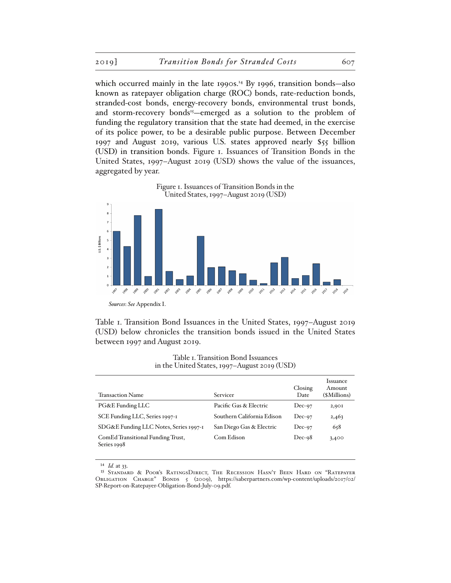which occurred mainly in the late 1990s.<sup>14</sup> By 1996, transition bonds—also known as ratepayer obligation charge (ROC) bonds, rate-reduction bonds, stranded-cost bonds, energy-recovery bonds, environmental trust bonds, and storm-recovery bonds<sup>15</sup>—emerged as a solution to the problem of funding the regulatory transition that the state had deemed, in the exercise of its police power, to be a desirable public purpose. Between December 1997 and August 2019, various U.S. states approved nearly \$55 billion (USD) in transition bonds. Figure 1. Issuances of Transition Bonds in the United States, 1997–August 2019 (USD) shows the value of the issuances, aggregated by year.



Table 1. Transition Bond Issuances in the United States, 1997–August 2019 (USD) below chronicles the transition bonds issued in the United States between 1997 and August 2019.

Transaction Name Servicer Closing Date Issuance Amount (\$Millions) PG&E Funding LLC<br>
Pacific Gas & Electric Dec-97 2,901 SCE Funding LLC, Series 1997-1 Southern California Edison Dec-97 2,463 SDG&E Funding LLC Notes, Series 1997-1 San Diego Gas & Electric Dec-97 658 ComEd Transitional Funding Trust, Series 1998 Com Edison Dec-98 3,400

Table 1. Transition Bond Issuances in the United States, 1997–August 2019 (USD)

14 *Id.* at 33.

<sup>15</sup> Standard & Poor's RatingsDirect, The Recession Hasn't Been Hard on "Ratepayer Obligation Charge" Bonds 5 (2009), https://saberpartners.com/wp-content/uploads/2017/02/ SP-Report-on-Ratepayer-Obligation-Bond-July-09.pdf.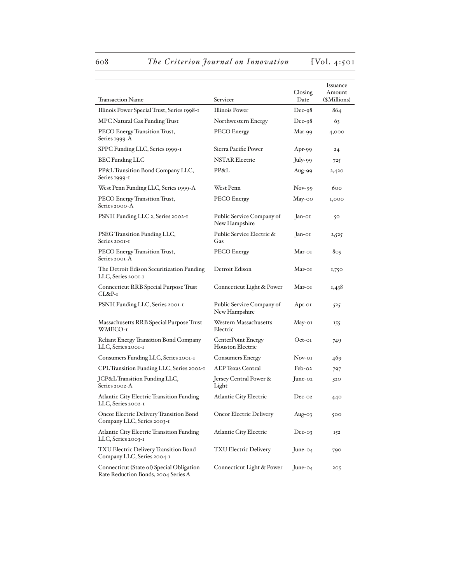# 608 The Criterion Journal on Innovation [Vol. 4:501]

| Transaction Name                                                                 |                                               | Closing<br>Date | <i><u><b>Issuance</b></u></i><br>Amount |
|----------------------------------------------------------------------------------|-----------------------------------------------|-----------------|-----------------------------------------|
|                                                                                  | Servicer                                      |                 | (\$Millions)                            |
| Illinois Power Special Trust, Series 1998-1                                      | <b>Illinois Power</b>                         | $Dec-98$        | 864                                     |
| MPC Natural Gas Funding Trust                                                    | Northwestern Energy                           | $Dec-98$        | 63                                      |
| PECO Energy Transition Trust,<br>Series 1999-A                                   | PECO Energy                                   | Mar-99          | 4,000                                   |
| SPPC Funding LLC, Series 1999-1                                                  | Sierra Pacific Power                          | Apr-99          | $^{24}$                                 |
| <b>BEC</b> Funding LLC                                                           | <b>NSTAR Electric</b>                         | July-99         | 725                                     |
| PP&L Transition Bond Company LLC,<br>Series 1999-1                               | PP&L                                          | Aug-99          | 2,420                                   |
| West Penn Funding LLC, Series 1999-A                                             | West Penn                                     | $Nov-99$        | 600                                     |
| PECO Energy Transition Trust,<br>Series 2000-A                                   | PECO Energy                                   | May-00          | 1,000                                   |
| PSNH Funding LLC 2, Series 2002-1                                                | Public Service Company of<br>New Hampshire    | Jan-01          | 50                                      |
| PSEG Transition Funding LLC,<br>Series 2001-1                                    | Public Service Electric &<br>Gas              | Jan-01          | 2,525                                   |
| PECO Energy Transition Trust,<br>Series 2001-A                                   | PECO Energy                                   | Mar-01          | 805                                     |
| The Detroit Edison Securitization Funding<br>LLC, Series 2001-1                  | Detroit Edison                                | Mar-01          | 1,750                                   |
| Connecticut RRB Special Purpose Trust<br>CL&P-1                                  | Connecticut Light & Power                     | Mar-01          | 1,438                                   |
| PSNH Funding LLC, Series 2001-1                                                  | Public Service Company of<br>New Hampshire    | Apr-01          | 525                                     |
| Massachusetts RRB Special Purpose Trust<br>WMECO-1                               | Western Massachusetts<br>Electric             | May-01          | 155                                     |
| <b>Reliant Energy Transition Bond Company</b><br>LLC, Series 2001-1              | <b>CenterPoint Energy</b><br>Houston Electric | Oct-01          | 749                                     |
| Consumers Funding LLC, Series 2001-1                                             | <b>Consumers Energy</b>                       | Nov-oi          | 469                                     |
| CPL Transition Funding LLC, Series 2002-1                                        | <b>AEP Texas Central</b>                      | $Feb-O2$        | 797                                     |
| JCP&L Transition Funding LLC,<br>Series 2002-A                                   | Jersey Central Power &<br>Light               | June-02         | 320                                     |
| <b>Atlantic City Electric Transition Funding</b><br>LLC, Series 2002-1           | <b>Atlantic City Electric</b>                 | $Dec-oz$        | 440                                     |
| Oncor Electric Delivery Transition Bond<br>Company LLC, Series 2003-1            | <b>Oncor Electric Delivery</b>                | Aug-03          | 500                                     |
| <b>Atlantic City Electric Transition Funding</b><br>LLC, Series 2003-1           | <b>Atlantic City Electric</b>                 | $Dec-03$        | 152                                     |
| TXU Electric Delivery Transition Bond<br>Company LLC, Series 2004-1              | <b>TXU Electric Delivery</b>                  | June-04         | 790                                     |
| Connecticut (State of) Special Obligation<br>Rate Reduction Bonds, 2004 Series A | Connecticut Light & Power                     | June-04         | 205                                     |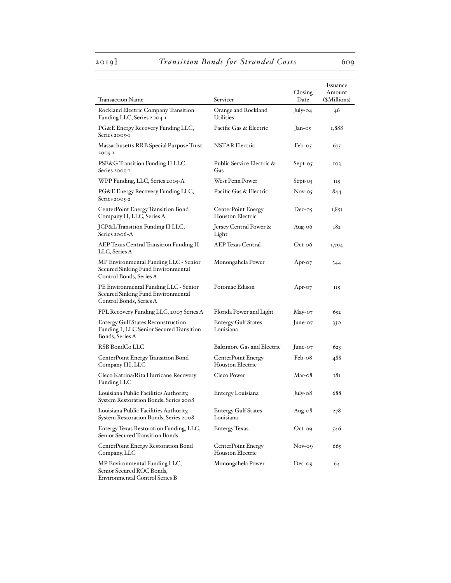Environmental Control Series B

# 2019] *Transition Bonds for Stranded Costs* 609

| Transaction Name                                                                                         | Servicer                                             | Closing<br>Date | <i><u><b>Issuance</b></u></i><br>Amount<br>(\$Millions) |
|----------------------------------------------------------------------------------------------------------|------------------------------------------------------|-----------------|---------------------------------------------------------|
|                                                                                                          |                                                      |                 |                                                         |
| Rockland Electric Company Transition<br>Funding LLC, Series 2004-1                                       | Orange and Rockland<br><b>Urilities</b>              | $July-04$       | 46                                                      |
| PG&E Energy Recovery Funding LLC,<br>Series 2005-1                                                       | Pacific Gas & Electric                               | $Jan-05$        | 1,888                                                   |
| Massachusetts RRB Special Purpose Trust<br>2005-I                                                        | <b>NSTAR Electric</b>                                | $Feb-05$        | 675                                                     |
| PSE&G Transition Funding II LLC,<br>Series 2005-1                                                        | Public Service Electric &<br>Gas                     | $Sept-05$       | IO3                                                     |
| WPP Funding, LLC, Series 2005-A                                                                          | <b>West Penn Power</b>                               | $Sept-05$       | II5                                                     |
| PG&E Energy Recovery Funding LLC,<br>Series 2005-2                                                       | Pacific Gas & Electric                               | $Nov-05$        | 844                                                     |
| <b>CenterPoint Energy Transition Bond</b><br>Company II, LLC, Series A                                   | <b>CenterPoint Energy</b><br><b>Houston Electric</b> | $Dec-05$        | 1,851                                                   |
| JCP&L Transition Funding II LLC,<br>Series 2006-A                                                        | Jersey Central Power &<br>Light                      | Aug- $06$       | 182                                                     |
| <b>AEP Texas Central Transition Funding II</b><br>LLC, Series A                                          | <b>AEP Texas Central</b>                             | $Oct-06$        | 1,794                                                   |
| MP Environmental Funding LLC - Senior<br>Secured Sinking Fund Environmental<br>Control Bonds, Series A   | Monongahela Power                                    | Apr-07          | 344                                                     |
| PE Environmental Funding LLC - Senior<br>Secured Sinking Fund Environmental<br>Control Bonds, Series A   | Potomac Edison                                       | Apr-07          | <b>115</b>                                              |
| FPL Recovery Funding LLC, 2007 Series A                                                                  | Florida Power and Light                              | $May-07$        | 652                                                     |
| <b>Entergy Gulf States Reconstruction</b><br>Funding I, LLC Senior Secured Transition<br>Bonds, Series A | <b>Entergy Gulf States</b><br>Louisiana              | June- $o7$      | 330                                                     |
| RSB BondCo LLC                                                                                           | <b>Baltimore Gas and Electric</b>                    | June- $o7$      | 623                                                     |
| <b>CenterPoint Energy Transition Bond</b><br>Company III, LLC                                            | <b>CenterPoint Energy</b><br><b>Houston Electric</b> | $Feb-o8$        | 488                                                     |
| Cleco Katrina/Rita Hurricane Recovery<br>Funding LLC                                                     | Cleco Power                                          | $Mar-o8$        | 181                                                     |
| Louisiana Public Facilities Authority,<br>System Restoration Bonds, Series 2008                          | Entergy Louisiana                                    | $July-08$       | 688                                                     |
| Louisiana Public Facilities Authority,<br>System Restoration Bonds, Series 2008                          | <b>Entergy Gulf States</b><br>Louisiana              | Aug- $08$       | 278                                                     |
| Entergy Texas Restoration Funding, LLC,<br>Senior Secured Transition Bonds                               | <b>Entergy Texas</b>                                 | $Oct-09$        | 546                                                     |
| CenterPoint Energy Restoration Bond<br>Company, LLC                                                      | <b>CenterPoint Energy</b><br><b>Houston Electric</b> | $Nov-09$        | 665                                                     |
| MP Environmental Funding LLC,<br>Senior Secured ROC Bonds,                                               | Monongahela Power                                    | $Dec-og$        | 64                                                      |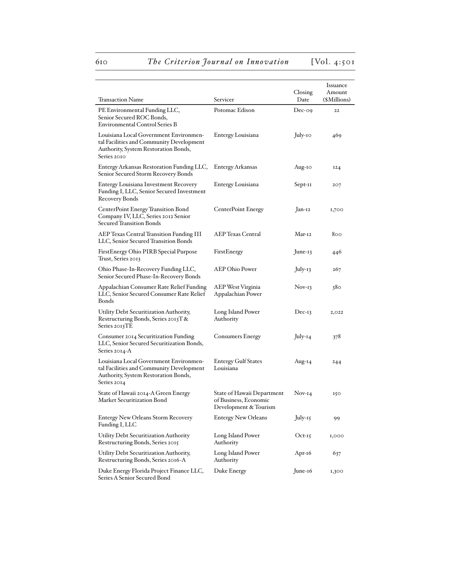# 610 **The Criterion Journal on Innovation** [Vol. 4:501]

|                                                                                                                                           |                                                                              |           | <i><u><b>Issuance</b></u></i> |
|-------------------------------------------------------------------------------------------------------------------------------------------|------------------------------------------------------------------------------|-----------|-------------------------------|
|                                                                                                                                           |                                                                              | Closing   | Amount                        |
| Transaction Name                                                                                                                          | Servicer                                                                     | Date      | (\$Millions)                  |
| PE Environmental Funding LLC,<br>Senior Secured ROC Bonds,<br><b>Environmental Control Series B</b>                                       | Potomac Edison                                                               | $Dec-og$  | 22                            |
| Louisiana Local Government Environmen-<br>tal Facilities and Community Development<br>Authority, System Restoration Bonds,<br>Series 2010 | Entergy Louisiana                                                            | July-10   | 469                           |
| Entergy Arkansas Restoration Funding LLC,<br>Senior Secured Storm Recovery Bonds                                                          | <b>Entergy Arkansas</b>                                                      | Aug-10    | <b>I24</b>                    |
| <b>Entergy Louisiana Investment Recovery</b><br>Funding I, LLC, Senior Secured Investment<br><b>Recovery Bonds</b>                        | Entergy Louisiana                                                            | Sept-11   | 207                           |
| <b>CenterPoint Energy Transition Bond</b><br>Company IV, LLC, Series 2012 Senior<br>Secured Transition Bonds                              | <b>CenterPoint Energy</b>                                                    | Jan-12    | 1,700                         |
| <b>AEP Texas Central Transition Funding III</b><br>LLC, Senior Secured Transition Bonds                                                   | <b>AEP Texas Central</b>                                                     | Mar-12    | 800                           |
| First Energy Ohio PIRB Special Purpose<br>Trust, Series 2013                                                                              | FirstEnergy                                                                  | June-13   | 446                           |
| Ohio Phase-In-Recovery Funding LLC,<br>Senior Secured Phase-In-Recovery Bonds                                                             | <b>AEP Ohio Power</b>                                                        | July-13   | 267                           |
| Appalachian Consumer Rate Relief Funding<br>LLC, Senior Secured Consumer Rate Relief<br>Bonds                                             | AEP West Virginia<br>Appalachian Power                                       | $Nov-13$  | 380                           |
| Utility Debt Securitization Authority,<br>Restructuring Bonds, Series 2013T&<br>Series 2013TE                                             | Long Island Power<br>Authority                                               | $Dec-I$   | 2,022                         |
| Consumer 2014 Securitization Funding<br>LLC, Senior Secured Securitization Bonds,<br>Series 2014-A                                        | <b>Consumers Energy</b>                                                      | July-14   | 378                           |
| Louisiana Local Government Environmen-<br>tal Facilities and Community Development<br>Authority, System Restoration Bonds,<br>Series 2014 | <b>Entergy Gulf States</b><br>Louisiana                                      | Aug-14    | 244                           |
| State of Hawaii 2014-A Green Energy<br>Market Securitization Bond                                                                         | State of Hawaii Department<br>of Business, Economic<br>Development & Tourism | $Nov-I4$  | 150                           |
| <b>Entergy New Orleans Storm Recovery</b><br>Funding I, LLC                                                                               | <b>Entergy New Orleans</b>                                                   | July-15   | 99                            |
| Utility Debt Securitization Authority<br>Restructuring Bonds, Series 2015                                                                 | Long Island Power<br>Authority                                               | $Oct-15$  | 1,000                         |
| Utility Debt Securitization Authority,<br>Restructuring Bonds, Series 2016-A                                                              | Long Island Power<br>Authority                                               | Apr-16    | 637                           |
| Duke Energy Florida Project Finance LLC,<br>Series A Senior Secured Bond                                                                  | Duke Energy                                                                  | $June-16$ | 1,300                         |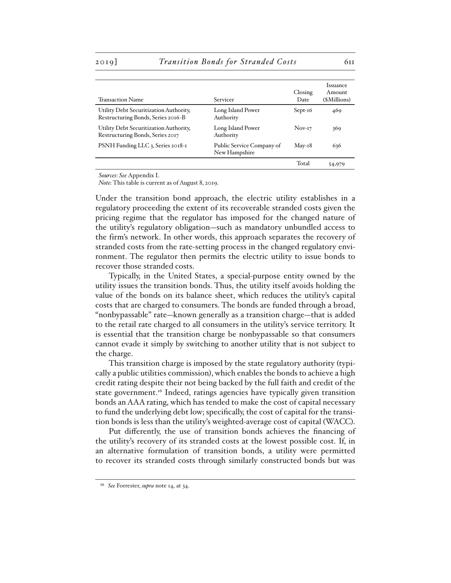#### 2019] *Transition Bonds for Stranded Costs* 611

| <b>Transaction Name</b>                                                      | Servicer                                   | Closing<br>Date | <i>Issuance</i><br>Amount<br>(\$Millions) |
|------------------------------------------------------------------------------|--------------------------------------------|-----------------|-------------------------------------------|
| Utility Debt Securitization Authority,<br>Restructuring Bonds, Series 2016-B | Long Island Power<br>Authority             | $Sept-16$       | 469                                       |
| Utility Debt Securitization Authority,<br>Restructuring Bonds, Series 2017   | Long Island Power<br>Authority             | $Nov-I7$        | 369                                       |
| PSNH Funding LLC 3, Series 2018-1                                            | Public Service Company of<br>New Hampshire | $Mav-18$        | 636                                       |
|                                                                              |                                            | Total           | 54,979                                    |

*Sources*: *See* Appendix I.

*Note*: This table is current as of August 8, 2019.

Under the transition bond approach, the electric utility establishes in a regulatory proceeding the extent of its recoverable stranded costs given the pricing regime that the regulator has imposed for the changed nature of the utility's regulatory obligation—such as mandatory unbundled access to the firm's network. In other words, this approach separates the recovery of stranded costs from the rate-setting process in the changed regulatory environment. The regulator then permits the electric utility to issue bonds to recover those stranded costs.

Typically, in the United States, a special-purpose entity owned by the utility issues the transition bonds. Thus, the utility itself avoids holding the value of the bonds on its balance sheet, which reduces the utility's capital costs that are charged to consumers. The bonds are funded through a broad, "nonbypassable" rate—known generally as a transition charge—that is added to the retail rate charged to all consumers in the utility's service territory. It is essential that the transition charge be nonbypassable so that consumers cannot evade it simply by switching to another utility that is not subject to the charge.

This transition charge is imposed by the state regulatory authority (typically a public utilities commission), which enables the bonds to achieve a high credit rating despite their not being backed by the full faith and credit of the state government.<sup>16</sup> Indeed, ratings agencies have typically given transition bonds an AAA rating, which has tended to make the cost of capital necessary to fund the underlying debt low; specifically, the cost of capital for the transition bonds is less than the utility's weighted-average cost of capital (WACC).

Put differently, the use of transition bonds achieves the financing of the utility's recovery of its stranded costs at the lowest possible cost. If, in an alternative formulation of transition bonds, a utility were permitted to recover its stranded costs through similarly constructed bonds but was

<sup>16</sup> *See* Forrester, *supra* note 14, at 34.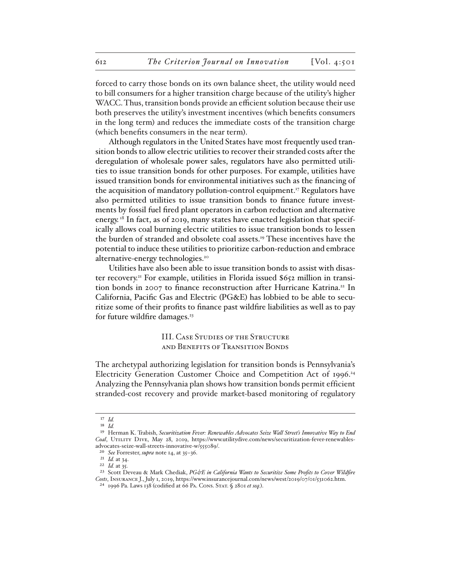forced to carry those bonds on its own balance sheet, the utility would need to bill consumers for a higher transition charge because of the utility's higher WACC. Thus, transition bonds provide an efficient solution because their use both preserves the utility's investment incentives (which benefits consumers in the long term) and reduces the immediate costs of the transition charge (which benefits consumers in the near term).

Although regulators in the United States have most frequently used transition bonds to allow electric utilities to recover their stranded costs after the deregulation of wholesale power sales, regulators have also permitted utilities to issue transition bonds for other purposes. For example, utilities have issued transition bonds for environmental initiatives such as the financing of the acquisition of mandatory pollution-control equipment.<sup>17</sup> Regulators have also permitted utilities to issue transition bonds to finance future investments by fossil fuel fired plant operators in carbon reduction and alternative energy.<sup>18</sup> In fact, as of 2019, many states have enacted legislation that specifically allows coal burning electric utilities to issue transition bonds to lessen the burden of stranded and obsolete coal assets.19 These incentives have the potential to induce these utilities to prioritize carbon-reduction and embrace alternative-energy technologies.<sup>20</sup>

Utilities have also been able to issue transition bonds to assist with disaster recovery.21 For example, utilities in Florida issued \$652 million in transition bonds in 2007 to finance reconstruction after Hurricane Katrina.<sup>22</sup> In California, Pacific Gas and Electric (PG&E) has lobbied to be able to securitize some of their profits to finance past wildfire liabilities as well as to pay for future wildfire damages.<sup>23</sup>

> III. Case Studies of the Structure and Benefits of Transition Bonds

The archetypal authorizing legislation for transition bonds is Pennsylvania's Electricity Generation Customer Choice and Competition Act of 1996.<sup>24</sup> Analyzing the Pennsylvania plan shows how transition bonds permit efficient stranded-cost recovery and provide market-based monitoring of regulatory

<sup>17</sup> *Id.*

<sup>18</sup> *Id.*

<sup>19</sup> Herman K. Trabish, *Securitization Fever: Renewables Advocates Seize Wall Street's Innovative Way to End*  Coal, UTILITY DIVE, May 28, 2019, https://www.utilitydive.com/news/securitization-fever-renewablesadvocates-seize-wall-streets-innovative-w/555089/.

<sup>20</sup> *See* Forrester, *supra* note 14, at 35–36.

<sup>21</sup> *Id.* at 34.

<sup>22</sup> *Id.* at 35.

<sup>&</sup>lt;sup>23</sup> Scott Deveau & Mark Chediak, *PG&E in California Wants to Securitize Some Profits to Cover Wildfire Costs*, Insurance J., July 1, 2019, https://www.insurancejournal.com/news/west/2019/07/01/531062.htm.

<sup>24</sup> 1996 Pa. Laws 138 (codified at 66 Pa. Cons. Stat. § 2801 *et seq.*).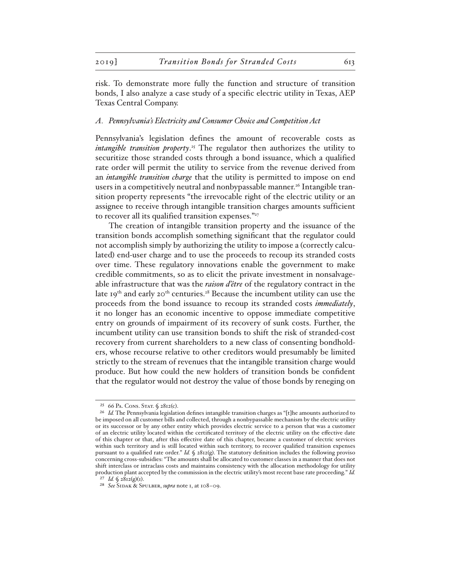risk. To demonstrate more fully the function and structure of transition bonds, I also analyze a case study of a specific electric utility in Texas, AEP Texas Central Company.

#### *A. Pennsylvania's Electricity and Consumer Choice and Competition Act*

Pennsylvania's legislation defines the amount of recoverable costs as *intangible transition property*. 25 The regulator then authorizes the utility to securitize those stranded costs through a bond issuance, which a qualified rate order will permit the utility to service from the revenue derived from an *intangible transition charge* that the utility is permitted to impose on end users in a competitively neutral and nonbypassable manner.<sup>26</sup> Intangible transition property represents "the irrevocable right of the electric utility or an assignee to receive through intangible transition charges amounts sufficient to recover all its qualified transition expenses." $27$ 

The creation of intangible transition property and the issuance of the transition bonds accomplish something significant that the regulator could not accomplish simply by authorizing the utility to impose a (correctly calculated) end-user charge and to use the proceeds to recoup its stranded costs over time. These regulatory innovations enable the government to make credible commitments, so as to elicit the private investment in nonsalvageable infrastructure that was the *raison d'être* of the regulatory contract in the late 19<sup>th</sup> and early 20<sup>th</sup> centuries.<sup>28</sup> Because the incumbent utility can use the proceeds from the bond issuance to recoup its stranded costs *immediately*, it no longer has an economic incentive to oppose immediate competitive entry on grounds of impairment of its recovery of sunk costs. Further, the incumbent utility can use transition bonds to shift the risk of stranded-cost recovery from current shareholders to a new class of consenting bondholders, whose recourse relative to other creditors would presumably be limited strictly to the stream of revenues that the intangible transition charge would produce. But how could the new holders of transition bonds be confident that the regulator would not destroy the value of those bonds by reneging on

<sup>&</sup>lt;sup>25</sup> 66 PA. CONS. STAT. § 2812(c).

<sup>26</sup> *Id.* The Pennsylvania legislation defines intangible transition charges as "[t]he amounts authorized to be imposed on all customer bills and collected, through a nonbypassable mechanism by the electric utility or its successor or by any other entity which provides electric service to a person that was a customer of an electric utility located within the certificated territory of the electric utility on the effective date of this chapter or that, after this effective date of this chapter, became a customer of electric services within such territory and is still located within such territory, to recover qualified transition expenses pursuant to a qualified rate order." *Id.* § 2812(g). The statutory definition includes the following proviso concerning cross-subsidies: "The amounts shall be allocated to customer classes in a manner that does not shift interclass or intraclass costs and maintains consistency with the allocation methodology for utility production plant accepted by the commission in the electric utility's most recent base rate proceeding." *Id.* 27 *Id.* § 2812(g)(1).

<sup>28</sup> *See* Sidak & Spulber, *supra* note 1, at 108–09.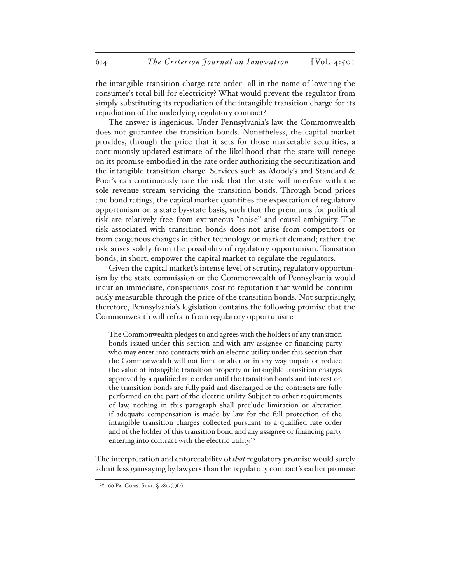the intangible-transition-charge rate order—all in the name of lowering the consumer's total bill for electricity? What would prevent the regulator from simply substituting its repudiation of the intangible transition charge for its repudiation of the underlying regulatory contract?

The answer is ingenious. Under Pennsylvania's law, the Commonwealth does not guarantee the transition bonds. Nonetheless, the capital market provides, through the price that it sets for those marketable securities, a continuously updated estimate of the likelihood that the state will renege on its promise embodied in the rate order authorizing the securitization and the intangible transition charge. Services such as Moody's and Standard & Poor's can continuously rate the risk that the state will interfere with the sole revenue stream servicing the transition bonds. Through bond prices and bond ratings, the capital market quantifies the expectation of regulatory opportunism on a state by-state basis, such that the premiums for political risk are relatively free from extraneous "noise" and causal ambiguity. The risk associated with transition bonds does not arise from competitors or from exogenous changes in either technology or market demand; rather, the risk arises solely from the possibility of regulatory opportunism. Transition bonds, in short, empower the capital market to regulate the regulators.

Given the capital market's intense level of scrutiny, regulatory opportunism by the state commission or the Commonwealth of Pennsylvania would incur an immediate, conspicuous cost to reputation that would be continuously measurable through the price of the transition bonds. Not surprisingly, therefore, Pennsylvania's legislation contains the following promise that the Commonwealth will refrain from regulatory opportunism:

The Commonwealth pledges to and agrees with the holders of any transition bonds issued under this section and with any assignee or financing party who may enter into contracts with an electric utility under this section that the Commonwealth will not limit or alter or in any way impair or reduce the value of intangible transition property or intangible transition charges approved by a qualified rate order until the transition bonds and interest on the transition bonds are fully paid and discharged or the contracts are fully performed on the part of the electric utility. Subject to other requirements of law, nothing in this paragraph shall preclude limitation or alteration if adequate compensation is made by law for the full protection of the intangible transition charges collected pursuant to a qualified rate order and of the holder of this transition bond and any assignee or financing party entering into contract with the electric utility.<sup>29</sup>

The interpretation and enforceability of *that* regulatory promise would surely admit less gainsaying by lawyers than the regulatory contract's earlier promise

<sup>&</sup>lt;sup>29</sup> 66 PA. CONS. STAT. § 2812(c)(2).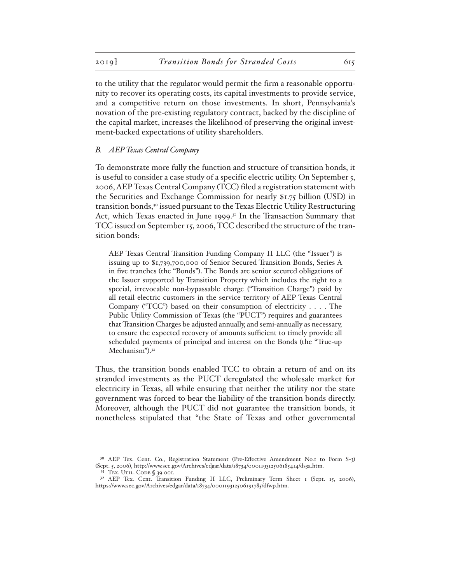to the utility that the regulator would permit the firm a reasonable opportunity to recover its operating costs, its capital investments to provide service, and a competitive return on those investments. In short, Pennsylvania's novation of the pre-existing regulatory contract, backed by the discipline of the capital market, increases the likelihood of preserving the original investment-backed expectations of utility shareholders.

#### *B. AEP Texas Central Company*

To demonstrate more fully the function and structure of transition bonds, it is useful to consider a case study of a specific electric utility. On September 5, 2006, AEP Texas Central Company (TCC) filed a registration statement with the Securities and Exchange Commission for nearly \$1.75 billion (USD) in transition bonds,<sup>30</sup> issued pursuant to the Texas Electric Utility Restructuring Act, which Texas enacted in June 1999. $31$  In the Transaction Summary that TCC issued on September 15, 2006, TCC described the structure of the transition bonds:

AEP Texas Central Transition Funding Company II LLC (the "Issuer") is issuing up to \$1,739,700,000 of Senior Secured Transition Bonds, Series A in five tranches (the "Bonds"). The Bonds are senior secured obligations of the Issuer supported by Transition Property which includes the right to a special, irrevocable non-bypassable charge ("Transition Charge") paid by all retail electric customers in the service territory of AEP Texas Central Company ("TCC") based on their consumption of electricity . . . . The Public Utility Commission of Texas (the "PUCT") requires and guarantees that Transition Charges be adjusted annually, and semi-annually as necessary, to ensure the expected recovery of amounts sufficient to timely provide all scheduled payments of principal and interest on the Bonds (the "True-up Mechanism").<sup>32</sup>

Thus, the transition bonds enabled TCC to obtain a return of and on its stranded investments as the PUCT deregulated the wholesale market for electricity in Texas, all while ensuring that neither the utility nor the state government was forced to bear the liability of the transition bonds directly. Moreover, although the PUCT did not guarantee the transition bonds, it nonetheless stipulated that "the State of Texas and other governmental

<sup>30</sup> AEP Tex. Cent. Co., Registration Statement (Pre-Effective Amendment No.1 to Form S-3) (Sept. 5, 2006), http://www.sec.gov/Archives/edgar/data/18734/000119312506185414/ds3a.htm. 31 Tex. Util. Code § 39.001.

<sup>&</sup>lt;sup>32</sup> AEP Tex. Cent. Transition Funding II LLC, Preliminary Term Sheet 1 (Sept. 15, 2006), https://www.sec.gov/Archives/edgar/data/18734/000119312506191785/dfwp.htm.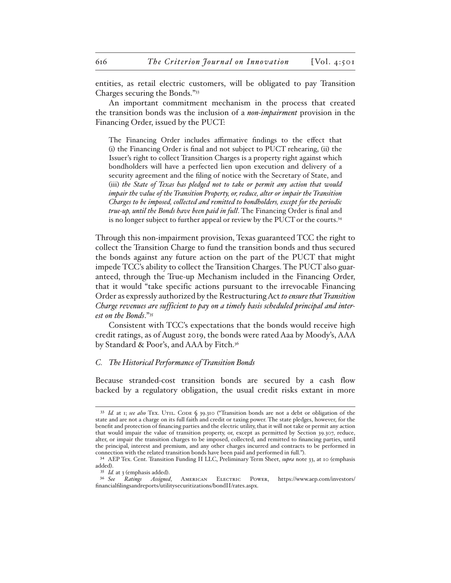entities, as retail electric customers, will be obligated to pay Transition Charges securing the Bonds."33

An important commitment mechanism in the process that created the transition bonds was the inclusion of a *non-impairment* provision in the Financing Order, issued by the PUCT:

The Financing Order includes affirmative findings to the effect that (i) the Financing Order is final and not subject to PUCT rehearing, (ii) the Issuer's right to collect Transition Charges is a property right against which bondholders will have a perfected lien upon execution and delivery of a security agreement and the filing of notice with the Secretary of State, and (iii) *the State of Texas has pledged not to take or permit any action that would impair the value of the Transition Property, or, reduce, alter or impair the Transition Charges to be imposed, collected and remitted to bondholders, except for the periodic true-up, until the Bonds have been paid in full*. The Financing Order is final and is no longer subject to further appeal or review by the PUCT or the courts.34

Through this non-impairment provision, Texas guaranteed TCC the right to collect the Transition Charge to fund the transition bonds and thus secured the bonds against any future action on the part of the PUCT that might impede TCC's ability to collect the Transition Charges. The PUCT also guaranteed, through the True-up Mechanism included in the Financing Order, that it would "take specific actions pursuant to the irrevocable Financing Order as expressly authorized by the Restructuring Act *to ensure that Transition Charge revenues are sufficient to pay on a timely basis scheduled principal and interest on the Bonds*."35

Consistent with TCC's expectations that the bonds would receive high credit ratings, as of August 2019, the bonds were rated Aaa by Moody's, AAA by Standard & Poor's, and AAA by Fitch.<sup>36</sup>

#### *C. The Historical Performance of Transition Bonds*

Because stranded-cost transition bonds are secured by a cash flow backed by a regulatory obligation, the usual credit risks extant in more

<sup>&</sup>lt;sup>33</sup> *Id.* at 1; *see also* TEX. UTIL. CODE § 39.310 ("Transition bonds are not a debt or obligation of the state and are not a charge on its full faith and credit or taxing power. The state pledges, however, for the benefit and protection of financing parties and the electric utility, that it will not take or permit any action that would impair the value of transition property, or, except as permitted by Section 39.307, reduce, alter, or impair the transition charges to be imposed, collected, and remitted to financing parties, until the principal, interest and premium, and any other charges incurred and contracts to be performed in connection with the related transition bonds have been paid and performed in full.").

<sup>34</sup> AEP Tex. Cent. Transition Funding II LLC, Preliminary Term Sheet, *supra* note 33, at 10 (emphasis added).

<sup>&</sup>lt;sup>35</sup> *Id.* at 3 (emphasis added).<br><sup>36</sup> See Ratings Assigned

Ratings Assigned, AMERICAN ELECTRIC POWER, https://www.aep.com/investors/ financialfilingsandreports/utilitysecuritizations/bondII/rates.aspx.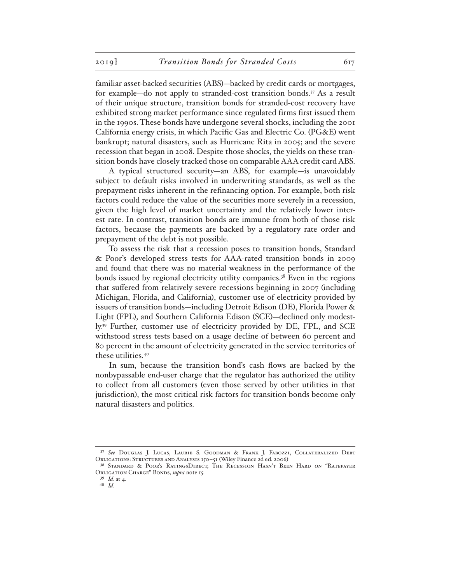familiar asset-backed securities (ABS)—backed by credit cards or mortgages, for example—do not apply to stranded-cost transition bonds.<sup>37</sup> As a result of their unique structure, transition bonds for stranded-cost recovery have exhibited strong market performance since regulated firms first issued them in the 1990s. These bonds have undergone several shocks, including the 2001 California energy crisis, in which Pacific Gas and Electric Co. (PG&E) went bankrupt; natural disasters, such as Hurricane Rita in 2005; and the severe recession that began in 2008. Despite those shocks, the yields on these transition bonds have closely tracked those on comparable AAA credit card ABS.

A typical structured security—an ABS, for example—is unavoidably subject to default risks involved in underwriting standards, as well as the prepayment risks inherent in the refinancing option. For example, both risk factors could reduce the value of the securities more severely in a recession, given the high level of market uncertainty and the relatively lower interest rate. In contrast, transition bonds are immune from both of those risk factors, because the payments are backed by a regulatory rate order and prepayment of the debt is not possible.

To assess the risk that a recession poses to transition bonds, Standard & Poor's developed stress tests for AAA-rated transition bonds in 2009 and found that there was no material weakness in the performance of the bonds issued by regional electricity utility companies.38 Even in the regions that suffered from relatively severe recessions beginning in 2007 (including Michigan, Florida, and California), customer use of electricity provided by issuers of transition bonds—including Detroit Edison (DE), Florida Power & Light (FPL), and Southern California Edison (SCE)—declined only modestly.<sup>39</sup> Further, customer use of electricity provided by DE, FPL, and SCE withstood stress tests based on a usage decline of between 60 percent and 80 percent in the amount of electricity generated in the service territories of these utilities.40

In sum, because the transition bond's cash flows are backed by the nonbypassable end-user charge that the regulator has authorized the utility to collect from all customers (even those served by other utilities in that jurisdiction), the most critical risk factors for transition bonds become only natural disasters and politics.

<sup>37</sup> *See* Douglas J. Lucas, Laurie S. Goodman & Frank J. Fabozzi, Collateralized Debt Obligations: Structures and Analysis 150–51 (Wiley Finance 2d ed. 2006).

<sup>38</sup> Standard & Poor's RatingsDirect, The Recession Hasn't Been Hard on "Ratepayer Obligation Charge" Bonds, *supra* note 15.

<sup>39</sup> *Id.* at 4.

<sup>40</sup> *Id.*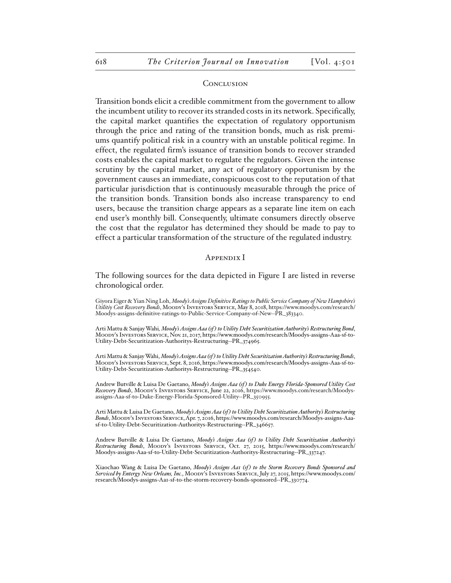#### **CONCLUSION**

Transition bonds elicit a credible commitment from the government to allow the incumbent utility to recover its stranded costs in its network. Specifically, the capital market quantifies the expectation of regulatory opportunism through the price and rating of the transition bonds, much as risk premiums quantify political risk in a country with an unstable political regime. In effect, the regulated firm's issuance of transition bonds to recover stranded costs enables the capital market to regulate the regulators. Given the intense scrutiny by the capital market, any act of regulatory opportunism by the government causes an immediate, conspicuous cost to the reputation of that particular jurisdiction that is continuously measurable through the price of the transition bonds. Transition bonds also increase transparency to end users, because the transition charge appears as a separate line item on each end user's monthly bill. Consequently, ultimate consumers directly observe the cost that the regulator has determined they should be made to pay to effect a particular transformation of the structure of the regulated industry.

#### APPENDIX I

The following sources for the data depicted in Figure I are listed in reverse chronological order.

Giyora Eiger & Yian Ning Loh, *Moody's Assigns Definitive Ratings to Public Service Company of New Hampshire's Utilitiy Cost Recovery Bonds*, Moody's Investors Service, May 8, 2018, https://www.moodys.com/research/ Moodys-assigns-definitive-ratings-to-Public-Service-Company-of-New--PR\_383340.

Arti Mattu & Sanjay Wahi*, Moody's Assigns Aaa (sf ) to Utility Debt Securitization Authority's Restructuring Bond*, Moody's Investors Service, Nov. 21, 2017, https://www.moodys.com/research/Moodys-assigns-Aaa-sf-to-Utility-Debt-Securitization-Authoritys-Restructuring--PR\_374965.

Arti Mattu & Sanjay Wahi, *Moody's Assigns Aaa (sf ) to Utility Debt Securitization Authority's Restructuring Bonds*, Moody's Investors Service, Sept. 8, 2016, https://www.moodys.com/research/Moodys-assigns-Aaa-sf-to-Utility-Debt-Securitization-Authoritys-Restructuring--PR\_354540.

Andrew Butville & Luisa De Gaetano, *Moody's Assigns Aaa* (sf) to Duke Energy Florida-Sponsored Utility Cost *Recovery Bonds*, Moody's Investors Service, June 22, 2016, https://www.moodys.com/research/Moodysassigns-Aaa-sf-to-Duke-Energy-Florida-Sponsored-Utility--PR\_350955.

Arti Mattu & Luisa De Gaetano, *Moody's Assigns Aaa (sf ) to Utility Debt Securitization Authority's Restructuring Bonds*, Moody's Investors Service, Apr. 7, 2016, https://www.moodys.com/research/Moodys-assigns-Aaa-<br>sf-to-Utility-Debt-Securitization-Authoritys-Restructuring–PR\_346657.

Andrew Butville & Luisa De Gaetano, *Moody's Assigns Aaa (sf ) to Utility Debt Securitization Authority's Restructuring Bonds*, Moody's Investors Service, Oct. 27, 2015, https://www.moodys.com/research/ Moodys-assigns-Aaa-sf-to-Utility-Debt-Securitization-Authoritys-Restructuring--PR\_337247.

Xiaochao Wang & Luisa De Gaetano, *Moody's Assigns Aa1 (sf ) to the Storm Recovery Bonds Sponsored and Serviced by Entergy New Orleans, Inc.*, Moody's Investors Service, July 27, 2015, https://www.moodys.com/ research/Moodys-assigns-Aa1-sf-to-the-storm-recovery-bonds-sponsored--PR\_330774.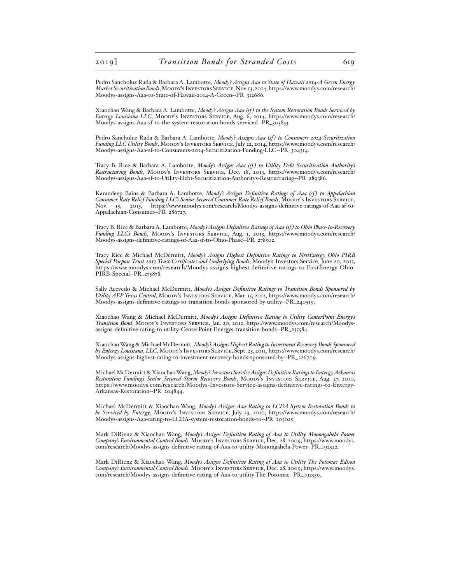Pedro Sancholuz Ruda & Barbara A. Lambotte, *Moody's Assigns Aaa to State of Hawaii 2014-A Green Energy Market Securitization Bonds*, Moody's Investors Service, Nov. 13, 2014, https://www.moodys.com/research/ Moodys-assigns-Aaa-to-State-of-Hawaii-2014-A-Green--PR\_312686.

Xiaochao Wang & Barbara A. Lambotte, *Moody's Assigns Aaa (sf ) to the System Restoration Bonds Serviced by Entergy Louisiana LLC*, Moody's Investors Service, Aug. 6, 2014, https://www.moodys.com/research/ Moodys-assigns-Aaa-sf-to-the-system-restoration-bonds-serviced--PR\_305833.

Pedro Sancholuz Ruda & Barbara A. Lambotte, *Moody's Assigns Aaa (sf) to Consumers 2014 Securitization Funding LLC Utility Bonds*, Moody's Investors Service, July 22, 2014, https://www.moodys.com/research/ Moodys-assigns-Aaa-sf-to-Consumers-2014-Securitization-Funding-LLC--PR\_304314.

Tracy B. Rice & Barbara A. Lambotte, *Moody's Assigns Aaa (sf) to Utility Debt Securitization Authority's Restructuring Bonds*, Moody's Investors Service, Dec. 18, 2013, https://www.moodys.com/research/ Moodys-assigns-Aaa-sf-to-Utility-Debt-Securitization-Authoritys-Restructuring--PR\_289386.

Karandeep Bains & Barbara A. Lambotte, *Moody's Assigns Definitive Ratings of Aaa* (sf) to Appalachian *Consumer Rate Relief Funding LLC's Senior Secured Consumer Rate Relief Bonds*, Moody's Investors Service, Nov. 15, 2013, https://www.moodys.com/research/Moodys-assigns-definitive-ratings-of-Aaa-sf-to-Appalachian-Consumer--PR\_286727.

Tracy B. Rice & Barbara A. Lambotte, *Moody's Assigns Definitive Ratings of Aaa (sf ) to Ohio Phase-In-Recovery Funding LLC's Bonds*, Moody's Investors Service, Aug. 1, 2013, https://www.moodys.com/research/ Moodys-assigns-definitive-ratings-of-Aaa-sf-to-Ohio-Phase--PR\_278502.

Tracy Rice & Michael McDermitt, *Moody's Assigns Highest Definitive Ratings to FirstEnergy Ohio PIRB Special Purpose Trust 2013 Trust Certificates and Underlying Bonds*, Moody's Investors Service, June 20, 2013, https://www.moodys.com/research/Moodys-assigns-highest-definitive-ratings-to-FirstEnergy-Ohio-PIRB-Special--PR<sub>-275</sub>878.

Sally Acevedo & Michael McDermitt, *Moody's Assigns Definitive Ratings to Transition Bonds Sponsored by Utility AEP Texas Central*, Moody's Investors Service, Mar. 15, 2012, https://www.moodys.com/research/ Moodys-assigns-definitive-ratings-to-transition-bonds-sponsored-by-utility--PR\_240519.

Xiaochao Wang & Michael McDermitt, *Moody's Assigns Definitive Rating to Utility CenterPoint Energy's Transition Bond*, Moody's Investors Service, Jan. 20, 2012, https://www.moodys.com/research/Moodysassigns-definitive-rating-to-utility-CenterPoint-Energys-transition-bonds--PR\_235584.

Xiaochao Wang & Michael McDermitt, *Moody's Assigns Highest Rating to Investment Recovery Bonds Sponsored by Entergy Louisiana*, *LLC*, Moody's Investors Service, Sept. 23, 2011, https://www.moodys.com/research/ Moodys-assigns-highest-rating-to-investment-recovery-bonds-sponsored-by--PR\_226709.

Michael McDermitt & Xiaochao Wang, *Moody's Investors Service Assigns Definitive Ratings to Entergy Arkansas Restoration Funding's Senior Secured Storm Recovery Bonds*, Moody's Investors Service, Aug. 27, 2010, https://www.moodys.com/research/Moodys-Investors-Service-assigns-definitive-ratings-to-Entergy-Arkansas-Restoration--PR\_204844.

Michael McDermitt & Xiaochao Wang, *Moody's Assigns Aaa Rating to LCDA System Restoration Bonds to be Serviced by Entergy*, Moody's Investors Service, July 23, 2010, https://www.moodys.com/research/ Moodys-assigns-Aaa-rating-to-LCDA-system-restoration-bonds-to--PR\_203025.

Mark DiRienz & Xiaochao Wang, *Moody's Assigns Definitive Rating of Aaa to Utility Monongahela Power Company's Environmental Control Bonds*, Moody's Investors Service, Dec. 28, 2009, https://www.moodys. com/research/Moodys-assigns-definitive-rating-of-Aaa-to-utility-Monongahela-Power--PR\_192522.

Mark DiRienz & Xiaochao Wang, *Moody's Assigns Definitive Rating of Aaa to Utility The Potomac Edison Company's Environmental Control Bonds*, Moody's Investors Service, Dec. 28, 2009, https://www.moodys. com/research/Moodys-assigns-definitive-rating-of-Aaa-to-utility-The-Potomac--PR\_192539.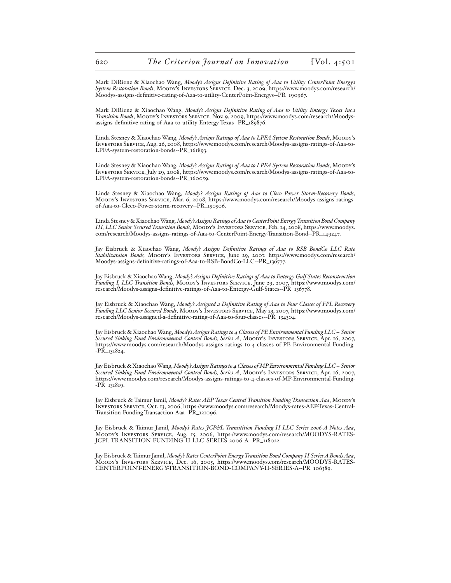Mark DiRienz & Xiaochao Wang, *Moody's Assigns Definitive Rating of Aaa to Utility CenterPoint Energy's System Restoration Bonds*, Moody's Investors Service, Dec. 3, 2009, https://www.moodys.com/research/ Moodys-assigns-definitive-rating-of-Aaa-to-utility-CenterPoint-Energys--PR\_190967.

Mark DiRienz & Xiaochao Wang, *Moody's Assigns Definitive Rating of Aaa to Utility Entergy Texas Inc.'s Transition Bonds*, Moody's Investors Service, Nov. 9, 2009, https://www.moodys.com/research/Moodysassigns-definitive-rating-of-Aaa-to-utility-Entergy-Texas--PR\_189876.

Linda Stesney & Xiaochao Wang, *Moody's Assigns Ratings of Aaa to LPFA System Restoration Bonds*, Moody's Investors Service, Aug. 26, 2008, https://www.moodys.com/research/Moodys-assigns-ratings-of-Aaa-to-LPFA-system-restoration-bonds--PR\_161893.

Linda Stesney & Xiaochao Wang, *Moody's Assigns Ratings of Aaa to LPFA System Restoration Bonds*, Moody's Investors Service, July 29, 2008, https://www.moodys.com/research/Moodys-assigns-ratings-of-Aaa-to-LPFA-system-restoration-bonds--PR\_160059.

Linda Stesney & Xiaochao Wang, *Moody's Assigns Ratings of Aaa to Cleco Power Storm-Recovery Bonds*, Moody's Investors Service, Mar. 6, 2008, https://www.moodys.com/research/Moodys-assigns-ratingsof-Aaa-to-Cleco-Power-storm-recovery--PR\_150506.

Linda Stesney & Xiaochao Wang, *Moody's Assigns Ratings of Aaa to CenterPoint Energy Transition Bond Company III, LLC Senior Secured Transition Bonds*, Moody's Investors Service, Feb. 14, 2008, https://www.moodys. com/research/Moodys-assigns-ratings-of-Aaa-to-CenterPoint-Energy-Transition-Bond--PR\_149247.

Jay Eisbruck & Xiaochao Wang, *Moody's Assigns Definitive Ratings of Aaa to RSB BondCo LLC Rate Stabilizataion Bonds,* Moody's Investors Service, June 29, 2007, https://www.moodys.com/research/ Moodys-assigns-definitive-ratings-of-Aaa-to-RSB-BondCo-LLC--PR\_136777.

Jay Eisbruck & Xiaochao Wang, *Moody's Assigns Definitive Ratings of Aaa to Entergy Gulf States Reconstruction Funding I, LLC Transition Bonds*, MOODY's INVESTORS SERVICE, June 29, 2007, https://www.moodys.com/ research/Moodys-assigns-definitive-ratings-of-Aaa-to-Entergy-Gulf-States--PR\_136778.

Jay Eisbruck & Xiaochao Wang, *Moody's Assigned a Definitive Rating of Aaa to Four Classes of FPL Recovery Funding LLC Senior Secured Bonds*, Moody's Investors Service, May 23, 2007, https://www.moodys.com/ research/Moodys-assigned-a-definitive-rating-of-Aaa-to-four-classes--PR\_134304.

Jay Eisbruck & Xiaochao Wang, *Moody's Assigns Ratings to 4 Classes of PE Environmental Funding LLC – Senior Secured Sinking Fund Environmental Control Bonds, Series A*, Moody's Investors Service, Apr. 16, 2007, https://www.moodys.com/research/Moodys-assigns-ratings-to-4-classes-of-PE-Environmental-Funding- -PR\_131824.

Jay Eisbruck & Xiaochao Wang, *Moody's Assigns Ratings to 4 Classes of MP Environmental Funding LLC – Senior Secured Sinking Fund Environmental Control Bonds, Series A*, Moody's Investors Service, Apr. 16, 2007, https://www.moodys.com/research/Moodys-assigns-ratings-to-4-classes-of-MP-Environmental-Funding- -PR\_131819.

Jay Eisbruck & Taimur Jamil, *Moody's Rates AEP Texas Central Transition Funding Transaction Aaa*, Moody's Investors Service, Oct. 13, 2006, https://www.moodys.com/research/Moodys-rates-AEP-Texas-Central-Transition-Funding-Transaction-Aaa--PR\_121096.

Jay Eisbruck & Taimur Jamil, *Moody's Rates JCP&L Transitition Funding II LLC Series 2006-A Notes Aaa*, Moody's Investors Service, Aug. 15, 2006, https://www.moodys.com/research/MOODYS-RATES-JCPL-TRANSITION-FUNDING-II-LLC-SERIES-2006-A--PR\_118022.

Jay Eisbruck & Taimur Jamil, *Moody's Rates CenterPoint Energy Transition Bond Company II Series A Bonds Aaa,*<br>Moody's Investors Service, Dec. 16, 2005, https://www.moodys.com/research/MOODYS-RATES-CENTERPOINT-ENERGY-TRANSITION-BOND-COMPANY-II-SERIES-A--PR\_106389.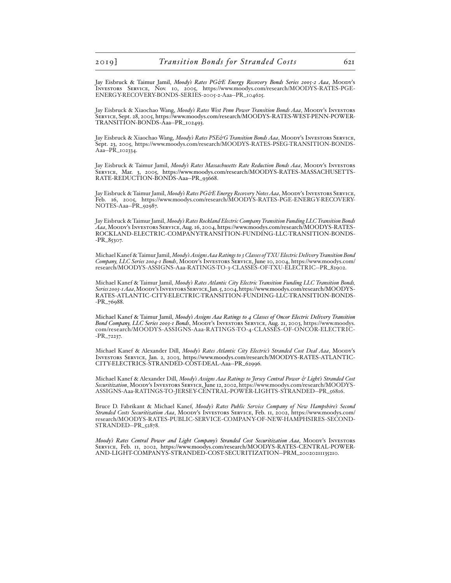Jay Eisbruck & Taimur Jamil, *Moody's Rates PG&E Energy Recovery Bonds Series 2005-2 Aaa*, Moody's Investors Service, Nov. 10, 2005, https://www.moodys.com/research/MOODYS-RATES-PGE-ENERGY-RECOVERY-BONDS-SERIES-2005-2-Aaa--PR\_104625.

Jay Eisbruck & Xiaochao Wang, *Moody's Rates West Penn Power Transition Bonds Aaa*, Moody's Investors Service, Sept. 28, 2005, https://www.moodys.com/research/MOODYS-RATES-WEST-PENN-POWER-TRANSITION-BONDS-Aaa--PR\_102493.

Jay Eisbruck & Xiaochao Wang, *Moody's Rates PSE&G Transition Bonds Aaa*, Moody's Investors Service, Sept. 23, 2005, https://www.moodys.com/research/MOODYS-RATES-PSEG-TRANSITION-BONDS-Aaa--PR\_102334.

Jay Eisbruck & Taimur Jamil, *Moody's Rates Massachusetts Rate Reduction Bonds Aaa*, MOODY's INVESTORS Service, Mar. 3, 2005, https://www.moodys.com/research/MOODYS-RATES-MASSACHUSETTS-RATE-REDUCTION-BONDS-Aaa--PR\_93668.

Jay Eisbruck & Taimur Jamil, *Moody's Rates PG&E Energy Recovery Notes Aaa*, Moody's Investors Service, Feb. 16, 2005, https://www.moodys.com/research/MOODYS-RATES-PGE-ENERGY-RECOVERY-NOTES-Aaa--PR\_92987.

Jay Eisbruck & Taimur Jamil, *Moody's Rates Rockland Electric Company Transition Funding LLC Transition Bonds Aaa*, Moody's Investors Service, Aug. 16, 2004, https://www.moodys.com/research/MOODYS-RATES-ROCKLAND-ELECTRIC-COMPANY-TRANSITION-FUNDING-LLC-TRANSITION-BONDS- -PR\_85307.

Michael Kanef & Taimur Jamil, *Moody's Assigns Aaa Ratings to 3 Classes of TXU Electric Delivery Transition Bond Company, LLC Series 2004-1 Bonds*, Moody's Investors Service, June 10, 2004, https://www.moodys.com/ research/MOODYS-ASSIGNS-Aaa-RATINGS-TO-3-CLASSES-OF-TXU-ELECTRIC--PR\_82902.

Michael Kanef & Taimur Jamil, *Moody's Rates Atlantic City Electric Transition Funding LLC Transition Bonds, Series 2003-1 Aaa*, Moody's Investors Service, Jan. 5, 2004, https://www.moodys.com/research/MOODYS-RATES-ATLANTIC-CITY-ELECTRIC-TRANSITION-FUNDING-LLC-TRANSITION-BONDS- -PR\_76988.

Michael Kanef & Taimur Jamil, *Moody's Assigns Aaa Ratings to 4 Classes of Oncor Electric Delivery Transition Bond Company, LLC Series 2003-1 Bonds*, Moody's Investors Service, Aug. 21, 2003, https://www.moodys. com/research/MOODYS-ASSIGNS-Aaa-RATINGS-TO-4-CLASSES-OF-ONCOR-ELECTRIC- -PR\_72237.

Michael Kanef & Alexander Dill, *Moody's Rates Atlantic City Electric's Stranded Cost Deal Aaa*, Moody's Investors Service, Jan. 2, 2003, https://www.moodys.com/research/MOODYS-RATES-ATLANTIC-CITY-ELECTRICS-STRANDED-COST-DEAL-Aaa--PR\_62996.

Michael Kanef & Alexander Dill, *Moody's Assigns Aaa Ratings to Jersey Central Power & Light's Stranded Cost Securitization*, Moody's Investors Service, June 12, 2002, https://www.moodys.com/research/MOODYS-ASSIGNS-Aaa-RATINGS-TO-JERSEY-CENTRAL-POWER-LIGHTS-STRANDED--PR\_56816.

Bruce D. Fabrikant & Michael Kanef, *Moody's Rates Public Service Company of New Hampshire's Second Stranded Costs Securitization Aaa*, Moody's Investors Service, Feb. 11, 2002, https://www.moodys.com/ research/MOODYS-RATES-PUBLIC-SERVICE-COMPANY-OF-NEW-HAMPHSIRES-SECOND-STRANDED--PR\_52878.

*Moody's Rates Central Power and Light Company's Stranded Cost Securitization Aaa*, Moody's Investors Service, Feb. 11, 2002, https://www.moodys.com/research/MOODYS-RATES-CENTRAL-POWER-AND-LIGHT-COMPANYS-STRANDED-COST-SECURITIZATION--PRM\_20020211135210.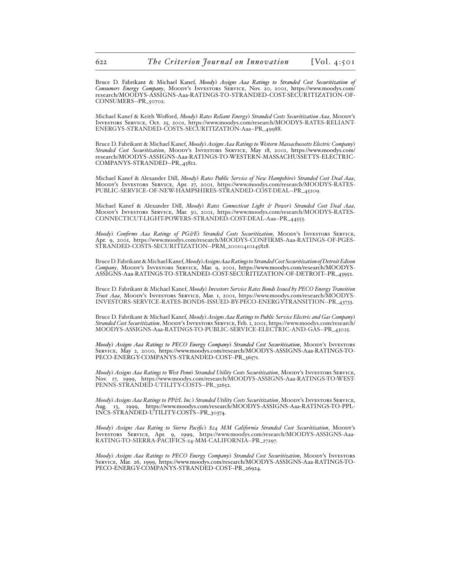Bruce D. Fabrikant & Michael Kanef, *Moody's Assigns Aaa Ratings to Stranded Cost Securitization of Consumers Energy Company*, Moody's Investors Service, Nov. 20, 2001, https://www.moodys.com/ research/MOODYS-ASSIGNS-Aaa-RATINGS-TO-STRANDED-COST-SECURITIZATION-OF-CONSUMERS--PR\_50702.

Michael Kanef & Keith Wofford, *Moody's Rates Reliant Energy's Stranded Costs Securitization Aaa*, Moody's Investors Service, Oct. 25, 2001, https://www.moodys.com/research/MOODYS-RATES-RELIANT-ENERGYS-STRANDED-COSTS-SECURITIZATION-Aaa--PR\_49988.

Bruce D. Fabrikant & Michael Kanef, *Moody's Assigns Aaa Ratings to Western Massachussetts Electric Company's Stranded Cost Securitization*, Moody's Investors Service, May 18, 2001, https://www.moodys.com/ research/MOODYS-ASSIGNS-Aaa-RATINGS-TO-WESTERN-MASSACHUSSETTS-ELECTRIC-COMPANYS-STRANDED--PR\_45812.

Michael Kanef & Alexander Dill, *Moody's Rates Public Service of New Hampshire's Stranded Cost Deal Aaa*, Moody's Investors Service, Apr. 27, 2001, https://www.moodys.com/research/MOODYS-RATES-PUBLIC-SERVICE-OF-NEW-HAMPSHIRES-STRANDED-COST-DEAL--PR\_45209.

Michael Kanef & Alexander Dill, *Moody's Rates Connecticut Light & Power's Stranded Cost Deal Aaa*, Moody's Investors Service, Mar. 30, 2001, https://www.moodys.com/research/MOODYS-RATES-CONNECTICUT-LIGHT-POWERS-STRANDED-COST-DEAL-Aaa--PR\_44553.

*Moody's Confirms Aaa Ratings of PG&E's Stranded Costs Securitization*, Moody's Investors Service, Apr. 9, 2001, https://www.moodys.com/research/MOODYS-CONFIRMS-Aaa-RATINGS-OF-PGES-STRANDED-COSTS-SECURITIZATION--PRM\_20010410145828.

Bruce D. Fabrikant & Michael Kanef, *Moody's Assigns Aaa Ratings to Stranded Cost Securitization of Detroit Edison Company*, Moody's Investors Service, Mar. 9, 2001, https://www.moodys.com/research/MOODYS-ASSIGNS-Aaa-RATINGS-TO-STRANDED-COST-SECURITIZATION-OF-DETROIT--PR\_43952.

Bruce D. Fabrikant & Michael Kanef, *Moody's Investors Service Rates Bonds Issued by PECO Energy Transition Trust Aaa*, Moody's Investors Service, Mar. 1, 2001, https://www.moodys.com/research/MOODYS-INVESTORS-SERVICE-RATES-BONDS-ISSUED-BY-PECO-ENERGY-TRANSITION--PR\_43733.

Bruce D. Fabrikant & Michael Kanef, *Moody's Assigns Aaa Ratings to Public Service Electric and Gas Company's Stranded Cost Securitization*, Moody's Investors Service, Feb. 1, 2001, https://www.moodys.com/research/ MOODYS-ASSIGNS-Aaa-RATINGS-TO-PUBLIC-SERVICE-ELECTRIC-AND-GAS--PR\_43025.

*Moody's Assigns Aaa Ratings to PECO Energy Company's Stranded Cost Securitization*, Moody's Investors Service, May 2, 2000, https://www.moodys.com/research/MOODYS-ASSIGNS-Aaa-RATINGS-TO-PECO-ENERGY-COMPANYS-STRANDED-COST--PR\_36571.

*Moody's Assigns Aaa Ratings to West Penn's Stranded Utility Costs Securitization*, Moody's Investors Service, Nov. 17, 1999, https://www.moodys.com/research/MOODYS-ASSIGNS-Aaa-RATINGS-TO-WEST-PENNS-STRANDED-UTILITY-COSTS--PR\_32652.

*Moody's Assigns Aaa Ratings to PP&L Inc.'s Stranded Utility Costs Securitization*, Moody's Investors Service,  $\sim$ 1999, https://www.moodys.com/research/MOODYS-ASSIGNS-Aaa-RATINGS-TO-PPL-Aug. 13, 1999, https://www.moodys.com/researd INCS-STRANDED-UTILITY-COSTS--PR\_30374.

*Moody's Assigns Aaa Rating to Sierra Pacific's \$24 MM California Stranded Cost Securitization*, Moody's Investors Service, Apr. 9, 1999, https://www.moodys.com/research/MOODYS-ASSIGNS-Aaa-RATING-TO-SIERRA-PACIFICS-24-MM-CALIFORNIA--PR\_27297.

*Moody's Assigns Aaa Ratings to PECO Energy Company's Stranded Cost Securitization*, Moody's Investors Service, Mar. 26, 1999, https://www.moodys.com/research/MOODYS-ASSIGNS-Aaa-RATINGS-TO-PECO-ENERGY-COMPANYS-STRANDED-COST--PR\_26924.